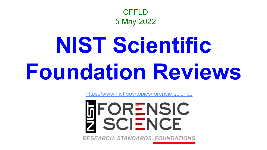

# **NIST Scientific Foundation Reviews**

<https://www.nist.gov/topics/forensic-science>

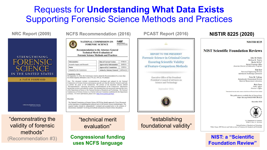### Requests for **Understanding What Data Exists**  Supporting Forensic Science Methods and Practices

**NIST** 



#### **A PATH FORWARD**

NATIONAL RESEARCH COUNCIL

**NRC Report (2009) NCFS Recommendation (2016) PCAST Report (2016)**

#### **NATIONAL COMMISSION ON** National Institute of<br>Nasharik and Techn **FORENSIC SCIENCE Recommendation to the Attorney General Technical Merit Evaluation of Forensic Science Methods and Practices** 07/06/16 Subcommittee **Date of Current Version** Scientific Inquiry and Research **Approved by Subcommittee** 26/08/16 **Approved by Commission** 12/09/16 Status Adopted by the Commission **Action by Attorney General** [different/v]

#### **Commission Action**

On September 12, 2016, the Commission voted to adopt this Recommendation by a more than two-thirds majority affirmative vote (77% yes, 19% no, 3% abstain)

Note: This document includes recommendations developed and adopted by the National Commission on Forensic Science and proposes specific acts that the Attorney General could take to further the goals of the Commission. The portion of the document directly labeled "Recommendations" represents the formal recommendations of the Commission. Information beyond that section is provided for context. This document does not necessarily represent the views of the Department of Justice or the National Institute of Standards and Technology. The National Commission on Forensic Science is a Federal Advisory Committee extablished by the Department of Justice. For noire information, please visit: https://www.pattice.gov/ncfs.

#### Overview

The National Commission on Foreraic Science (NCFS) has already approved a Views Document on the importance of establishing the technical merit of all forensic science methodologies. The required studies should be independently<sup>2</sup> evaluated and accepted prior to the creation of documentary standards<sup>2</sup> involving test methods and practices hased on these disciplines.

"demonstrating the validity of forensic methods" (Recommendation #3)

#### "technical merit evaluation"

**Congressional funding uses NCFS language**



**NIST: a "Scientific Foundation Review"**

Hari Iver

**Rich Press**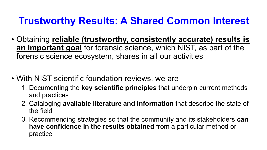## **Trustworthy Results: A Shared Common Interest**

- Obtaining **reliable (trustworthy, consistently accurate) results is an important goal** for forensic science, which NIST, as part of the forensic science ecosystem, shares in all our activities
- With NIST scientific foundation reviews, we are
	- 1. Documenting the **key scientific principles** that underpin current methods and practices
	- 2. Cataloging **available literature and information** that describe the state of the field
	- 3. Recommending strategies so that the community and its stakeholders **can have confidence in the results obtained** from a particular method or practice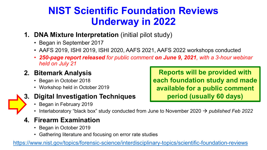### **NIST Scientific Foundation Reviews Underway in 2022**

- **1. DNA Mixture Interpretation** (initial pilot study)
	- Began in September 2017
	- AAFS 2019, ISHI 2019, ISHI 2020, AAFS 2021, AAFS 2022 workshops conducted
	- *250-page report released for public comment on June 9, 2021, with a 3-hour webinar held on July 21*

### **2. Bitemark Analysis**

- Began in October 2018
- Workshop held in October 2019



### **3. Digital Investigation Techniques**

- Began in February 2019
	- Interlaboratory "black box" study conducted from June to November 2020 → *published Feb 2022*

### **4. Firearm Examination**

- Began in October 2019
- Gathering literature and focusing on error rate studies

<https://www.nist.gov/topics/forensic-science/interdisciplinary-topics/scientific-foundation-reviews>

**Reports will be provided with each foundation study and made available for a public comment period (usually 60 days)**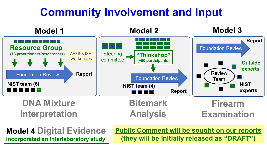# **Community Involvement and Input**



**Model 4 Digital Evidence Incorporated an interlaboratory study**

**Public Comment will be sought on our reports (they will be initially released as "DRAFT")**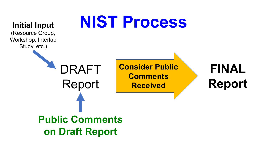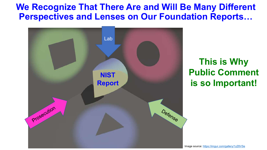**We Recognize That There Are and Will Be Many Different Perspectives and Lenses on Our Foundation Reports…**



**This is Why Public Comment is so Important!**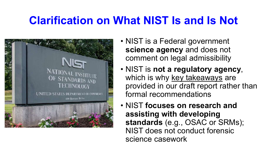# **Clarification on What NIST Is and Is Not**



- NIST is a Federal government **science agency** and does not comment on legal admissibility
- NIST is **not a regulatory agency**, which is why key takeaways are provided in our draft report rather than formal recommendations
- NIST **focuses on research and assisting with developing standards** (e.g., OSAC or SRMs); NIST does not conduct forensic science casework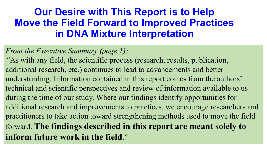### **Our Desire with This Report is to Help Move the Field Forward to Improved Practices in DNA Mixture Interpretation**

*From the Executive Summary (page 1):* 

*"*As with any field, the scientific process (research, results, publication, additional research, etc.) continues to lead to advancements and better understanding. Information contained in this report comes from the authors' technical and scientific perspectives and review of information available to us during the time of our study. Where our findings identify opportunities for additional research and improvements to practices, we encourage researchers and practitioners to take action toward strengthening methods used to move the field forward. **The findings described in this report are meant solely to inform future work in the field**."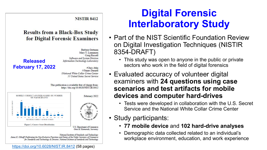#### **NISTIR 8412**

Barbara Guttman Mary T. Laamanen **Craig Russell** 

#### **Results from a Black-Box Study** for Digital Forensic Examiners



**+Chris Atha ++James** Darnell +National White Collar Crime Center ++ United States Secret Service

This publication is available free of charge from: https://doi.org/10.6028/NIST.IR.8412



National Institute of Standards and Technology

James K. Olthoff, Performing the Non-Exclusive Functions and Duties of the Under Secretary of Commerce for Standards and Technology & Director, National Institute of Standards and Technology

<https://doi.org/10.6028/NIST.IR.8412> (58 pages)

### **Digital Forensic Interlaboratory Study**

- Part of the NIST Scientific Foundation Review on Digital Investigation Techniques (NISTIR 8354-DRAFT)
	- This study was open to anyone in the public or private sectors who work in the field of digital forensics
- Evaluated accuracy of volunteer digital examiners with **24 questions using case scenarios and test artifacts for mobile devices and computer hard-drives**
	- Tests were developed in collaboration with the U.S. Secret Service and the National White Collar Crime Center
- Study participants:
	- **77 mobile device** and **102 hard-drive analyses**
	- Demographic data collected related to an individual's workplace environment, education, and work experience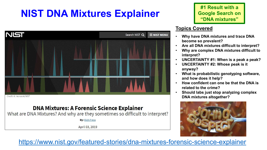## **NIST DNA Mixtures Explainer**



Credit: N. Hanacek/NIST

#### **DNA Mixtures: A Forensic Science Explainer**

What are DNA Mixtures? And why are they sometimes so difficult to interpret?

**By: Rich Press** 

April 03, 2019

**#1 Result with a Google Search on "DNA mixtures"**

#### **Topics Covered**

- **Why have DNA mixtures and trace DNA become so prevalent?**
- **Are all DNA mixtures difficult to interpret?**
- **Why are complex DNA mixtures difficult to interpret?**
- **UNCERTAINTY #1: When is a peak a peak?**
- **UNCERTAINTY #2: Whose peak is it anyway?**
- **What is probabilistic genotyping software, and how does it help?**
- **How confident can one be that the DNA is related to the crime?**
- **Should labs just stop analyzing complex DNA mixtures altogether?**



<https://www.nist.gov/featured-stories/dna-mixtures-forensic-science-explainer>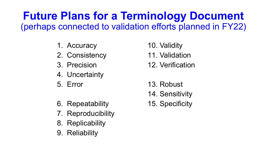## **Future Plans for a Terminology Document**  (perhaps connected to validation efforts planned in FY22)

- 1. Accuracy
- 2. Consistency
- 3. Precision
- 4. Uncertainty
- 5. Error
- 6. Repeatability
- 7. Reproducibility
- 8. Replicability
- 9. Reliability
- 10. Validity
- 11. Validation
- 12. Verification
- 13. Robust
- 14. Sensitivity
- 15. Specificity